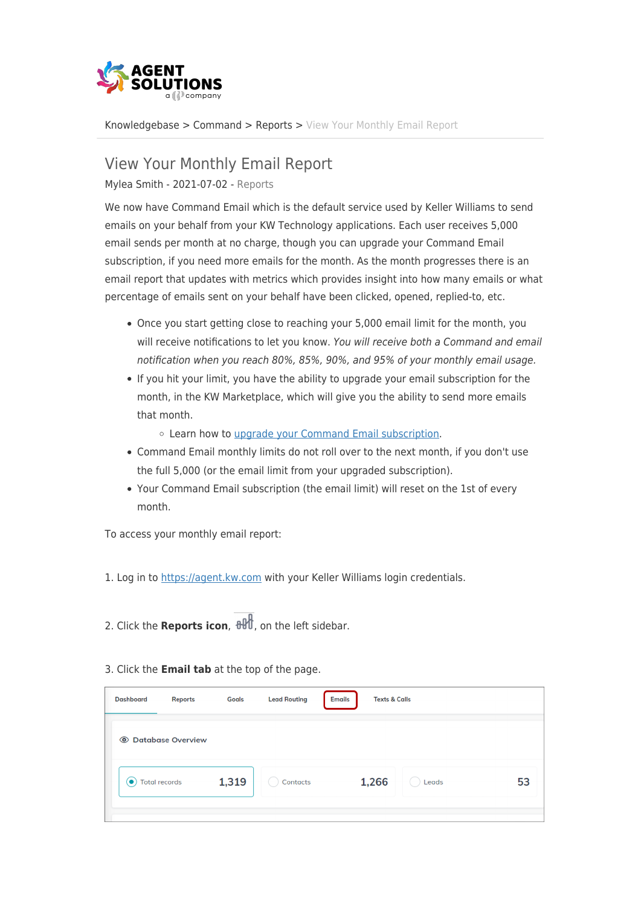

[Knowledgebase](https://support.kwgap.com/kb) > [Command](https://support.kwgap.com/kb/command) > [Reports](https://support.kwgap.com/kb/reports) > [View Your Monthly Email Report](https://support.kwgap.com/kb/articles/view-your-monthly-email-report)

## View Your Monthly Email Report

Mylea Smith - 2021-07-02 - [Reports](https://support.kwgap.com/kb/reports)

We now have Command Email which is the default service used by Keller Williams to send emails on your behalf from your KW Technology applications. Each user receives 5,000 email sends per month at no charge, though you can upgrade your Command Email subscription, if you need more emails for the month. As the month progresses there is an email report that updates with metrics which provides insight into how many emails or what percentage of emails sent on your behalf have been clicked, opened, replied-to, etc.

- Once you start getting close to reaching your 5,000 email limit for the month, you will receive notifications to let you know. You will receive both a Command and email notification when you reach 80%, 85%, 90%, and 95% of your monthly email usage.
- If you hit your limit, you have the ability to upgrade your email subscription for the month, in the KW Marketplace, which will give you the ability to send more emails that month.

Learn how to [upgrade your Command Email subscription.](https://answers.kw.com/hc/en-us/articles/360043086753)

- Command Email monthly limits do not roll over to the next month, if you don't use the full 5,000 (or the email limit from your upgraded subscription).
- Your Command Email subscription (the email limit) will reset on the 1st of every month.

To access your monthly email report:

- 1. Log in to [https://agent.kw.com](https://agent.kw.com/) with your Keller Williams login credentials.
- 2. Click the **Reports icon**,  $\frac{1}{2}$ , on the left sidebar.

| 3. Click the <b>Email tab</b> at the top of the page. |  |  |  |  |
|-------------------------------------------------------|--|--|--|--|
|-------------------------------------------------------|--|--|--|--|

| <b>Dashboard</b> | <b>Reports</b>       | <b>Goals</b> | <b>Lead Routing</b> | <b>Emails</b> | <b>Texts &amp; Calls</b> |    |
|------------------|----------------------|--------------|---------------------|---------------|--------------------------|----|
|                  | © Database Overview  |              |                     |               |                          |    |
| $\bullet$        | <b>Total records</b> | 1,319        | Contacts            | 1,266         | Leads                    | 53 |
|                  |                      |              |                     |               |                          |    |